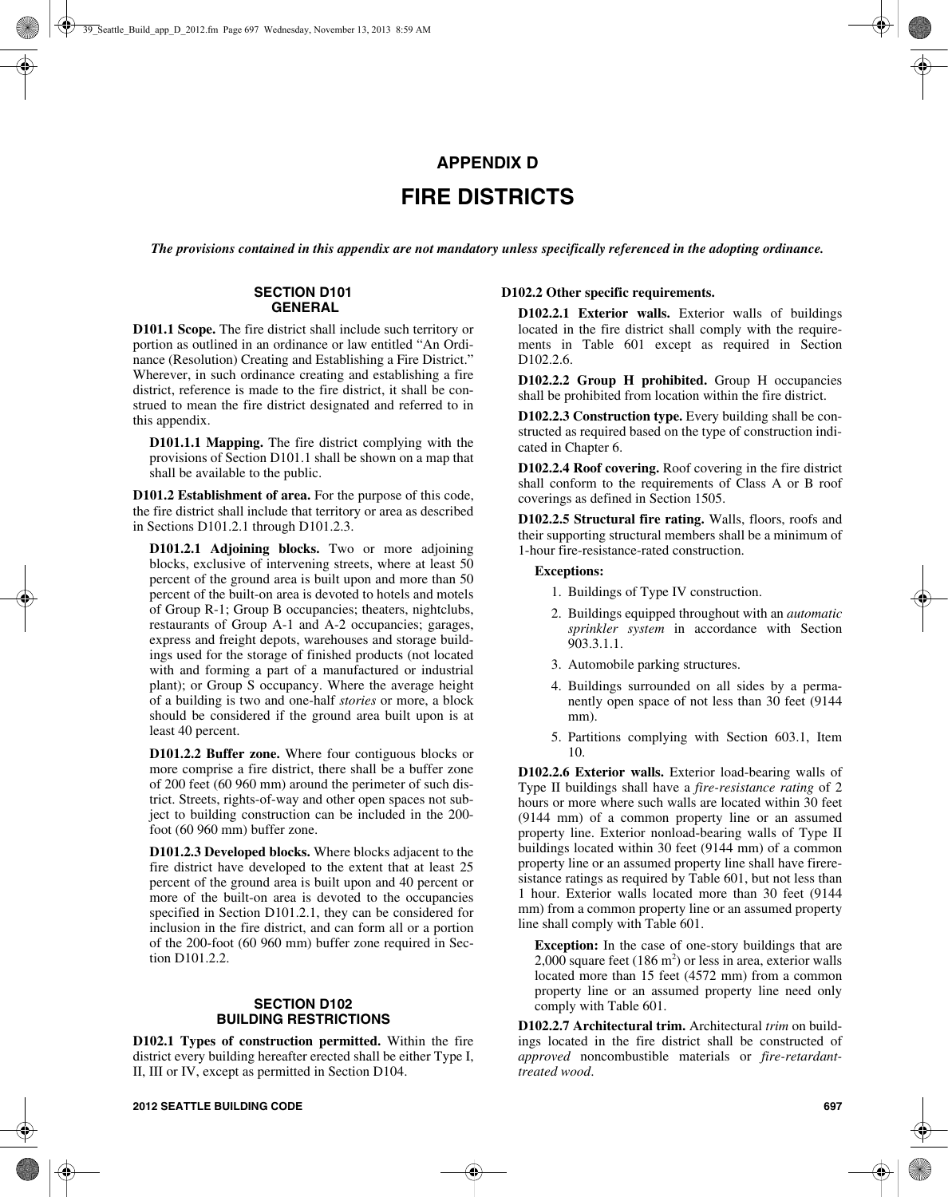# **APPENDIX D FIRE DISTRICTS**

*The provisions contained in this appendix are not mandatory unless specifically referenced in the adopting ordinance.*

#### **SECTION D101 GENERAL**

**D101.1 Scope.** The fire district shall include such territory or portion as outlined in an ordinance or law entitled "An Ordinance (Resolution) Creating and Establishing a Fire District." Wherever, in such ordinance creating and establishing a fire district, reference is made to the fire district, it shall be construed to mean the fire district designated and referred to in this appendix.

**D101.1.1 Mapping.** The fire district complying with the provisions of Section D101.1 shall be shown on a map that shall be available to the public.

**D101.2 Establishment of area.** For the purpose of this code, the fire district shall include that territory or area as described in Sections D101.2.1 through D101.2.3.

**D101.2.1 Adjoining blocks.** Two or more adjoining blocks, exclusive of intervening streets, where at least 50 percent of the ground area is built upon and more than 50 percent of the built-on area is devoted to hotels and motels of Group R-1; Group B occupancies; theaters, nightclubs, restaurants of Group A-1 and A-2 occupancies; garages, express and freight depots, warehouses and storage buildings used for the storage of finished products (not located with and forming a part of a manufactured or industrial plant); or Group S occupancy. Where the average height of a building is two and one-half *stories* or more, a block should be considered if the ground area built upon is at least 40 percent.

**D101.2.2 Buffer zone.** Where four contiguous blocks or more comprise a fire district, there shall be a buffer zone of 200 feet (60 960 mm) around the perimeter of such district. Streets, rights-of-way and other open spaces not subject to building construction can be included in the 200 foot (60 960 mm) buffer zone.

**D101.2.3 Developed blocks.** Where blocks adjacent to the fire district have developed to the extent that at least 25 percent of the ground area is built upon and 40 percent or more of the built-on area is devoted to the occupancies specified in Section D101.2.1, they can be considered for inclusion in the fire district, and can form all or a portion of the 200-foot (60 960 mm) buffer zone required in Section D101.2.2.

# **SECTION D102 BUILDING RESTRICTIONS**

**D102.1 Types of construction permitted.** Within the fire district every building hereafter erected shall be either Type I, II, III or IV, except as permitted in Section D104.

# **D102.2 Other specific requirements.**

**D102.2.1 Exterior walls.** Exterior walls of buildings located in the fire district shall comply with the requirements in Table 601 except as required in Section D102.2.6.

**D102.2.2 Group H prohibited.** Group H occupancies shall be prohibited from location within the fire district.

**D102.2.3 Construction type.** Every building shall be constructed as required based on the type of construction indicated in Chapter 6.

**D102.2.4 Roof covering.** Roof covering in the fire district shall conform to the requirements of Class A or B roof coverings as defined in Section 1505.

**D102.2.5 Structural fire rating.** Walls, floors, roofs and their supporting structural members shall be a minimum of 1-hour fire-resistance-rated construction.

#### **Exceptions:**

- 1. Buildings of Type IV construction.
- 2. Buildings equipped throughout with an *automatic sprinkler system* in accordance with Section 903.3.1.1.
- 3. Automobile parking structures.
- 4. Buildings surrounded on all sides by a permanently open space of not less than 30 feet (9144 mm).
- 5. Partitions complying with Section 603.1, Item 10.

**D102.2.6 Exterior walls.** Exterior load-bearing walls of Type II buildings shall have a *fire-resistance rating* of 2 hours or more where such walls are located within 30 feet (9144 mm) of a common property line or an assumed property line. Exterior nonload-bearing walls of Type II buildings located within 30 feet (9144 mm) of a common property line or an assumed property line shall have fireresistance ratings as required by Table 601, but not less than 1 hour. Exterior walls located more than 30 feet (9144 mm) from a common property line or an assumed property line shall comply with Table 601.

**Exception:** In the case of one-story buildings that are 2,000 square feet  $(186 \text{ m}^2)$  or less in area, exterior walls located more than 15 feet (4572 mm) from a common property line or an assumed property line need only comply with Table 601.

**D102.2.7 Architectural trim.** Architectural *trim* on buildings located in the fire district shall be constructed of *approved* noncombustible materials or *fire-retardanttreated wood*.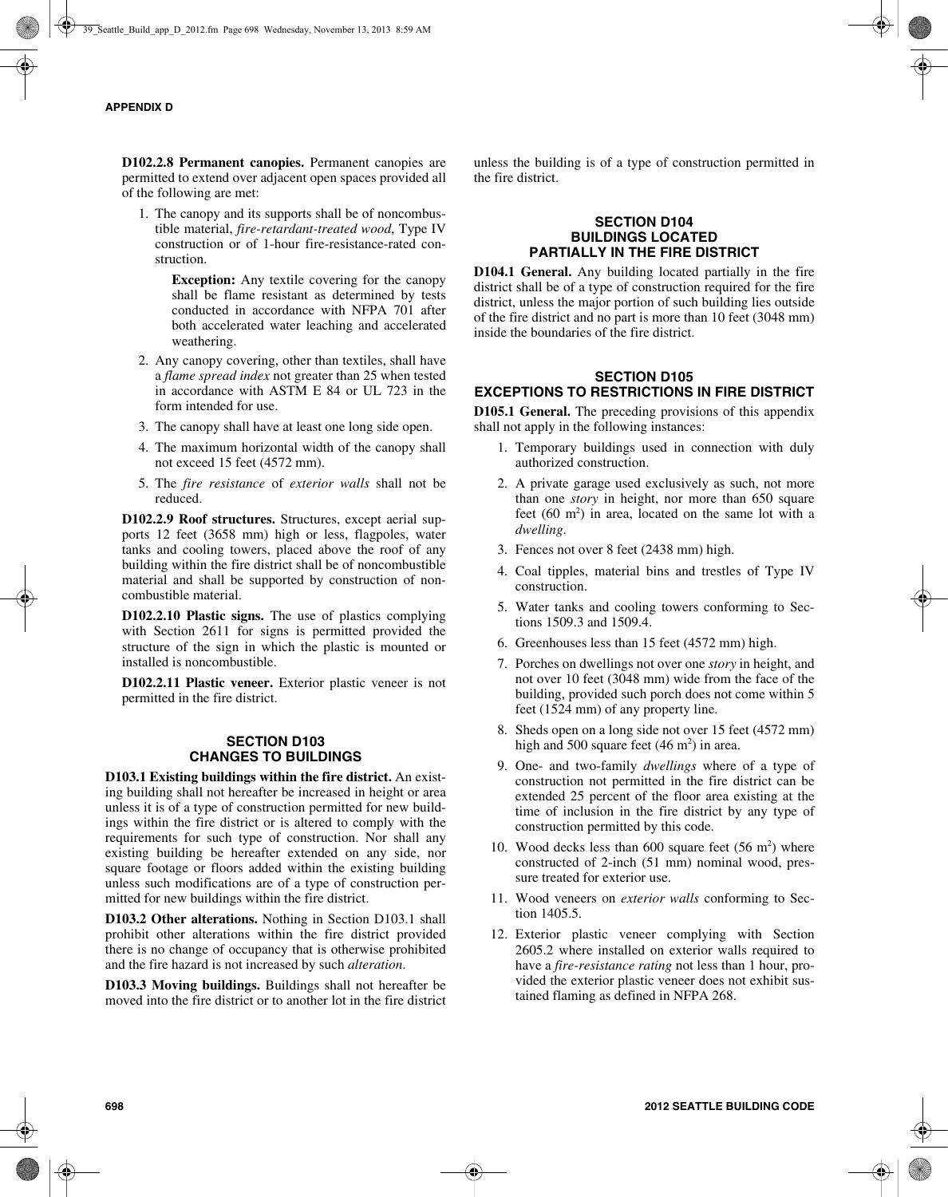**D102.2.8 Permanent canopies.** Permanent canopies are permitted to extend over adjacent open spaces provided all of the following are met:

1. The canopy and its supports shall be of noncombustible material, *fire-retardant-treated wood*, Type IV construction or of 1-hour fire-resistance-rated construction.

> **Exception:** Any textile covering for the canopy shall be flame resistant as determined by tests conducted in accordance with NFPA 701 after both accelerated water leaching and accelerated weathering.

- 2. Any canopy covering, other than textiles, shall have a *flame spread index* not greater than 25 when tested in accordance with ASTM E 84 or UL 723 in the form intended for use.
- 3. The canopy shall have at least one long side open.
- 4. The maximum horizontal width of the canopy shall not exceed 15 feet (4572 mm).
- 5. The *fire resistance* of *exterior walls* shall not be reduced.

**D102.2.9 Roof structures.** Structures, except aerial supports 12 feet (3658 mm) high or less, flagpoles, water tanks and cooling towers, placed above the roof of any building within the fire district shall be of noncombustible material and shall be supported by construction of noncombustible material.

**D102.2.10 Plastic signs.** The use of plastics complying with Section 2611 for signs is permitted provided the structure of the sign in which the plastic is mounted or installed is noncombustible.

**D102.2.11 Plastic veneer.** Exterior plastic veneer is not permitted in the fire district.

# **SECTION D103 CHANGES TO BUILDINGS**

**D103.1 Existing buildings within the fire district.** An existing building shall not hereafter be increased in height or area unless it is of a type of construction permitted for new buildings within the fire district or is altered to comply with the requirements for such type of construction. Nor shall any existing building be hereafter extended on any side, nor square footage or floors added within the existing building unless such modifications are of a type of construction permitted for new buildings within the fire district.

**D103.2 Other alterations.** Nothing in Section D103.1 shall prohibit other alterations within the fire district provided there is no change of occupancy that is otherwise prohibited and the fire hazard is not increased by such *alteration*.

**D103.3 Moving buildings.** Buildings shall not hereafter be moved into the fire district or to another lot in the fire district unless the building is of a type of construction permitted in the fire district.

# **SECTION D104 BUILDINGS LOCATED PARTIALLY IN THE FIRE DISTRICT**

**D104.1 General.** Any building located partially in the fire district shall be of a type of construction required for the fire district, unless the major portion of such building lies outside of the fire district and no part is more than 10 feet (3048 mm) inside the boundaries of the fire district.

# **SECTION D105 EXCEPTIONS TO RESTRICTIONS IN FIRE DISTRICT**

**D105.1 General.** The preceding provisions of this appendix shall not apply in the following instances:

- 1. Temporary buildings used in connection with duly authorized construction.
- 2. A private garage used exclusively as such, not more than one *story* in height, nor more than 650 square feet  $(60 \text{ m}^2)$  in area, located on the same lot with a *dwelling*.
- 3. Fences not over 8 feet (2438 mm) high.
- 4. Coal tipples, material bins and trestles of Type IV construction.
- 5. Water tanks and cooling towers conforming to Sections 1509.3 and 1509.4.
- 6. Greenhouses less than 15 feet (4572 mm) high.
- 7. Porches on dwellings not over one *story* in height, and not over 10 feet (3048 mm) wide from the face of the building, provided such porch does not come within 5 feet (1524 mm) of any property line.
- 8. Sheds open on a long side not over 15 feet (4572 mm) high and 500 square feet  $(46 \text{ m}^2)$  in area.
- 9. One- and two-family *dwellings* where of a type of construction not permitted in the fire district can be extended 25 percent of the floor area existing at the time of inclusion in the fire district by any type of construction permitted by this code.
- 10. Wood decks less than 600 square feet  $(56 \text{ m}^2)$  where constructed of 2-inch (51 mm) nominal wood, pressure treated for exterior use.
- 11. Wood veneers on *exterior walls* conforming to Section 1405.5.
- 12. Exterior plastic veneer complying with Section 2605.2 where installed on exterior walls required to have a *fire-resistance rating* not less than 1 hour, provided the exterior plastic veneer does not exhibit sustained flaming as defined in NFPA 268.